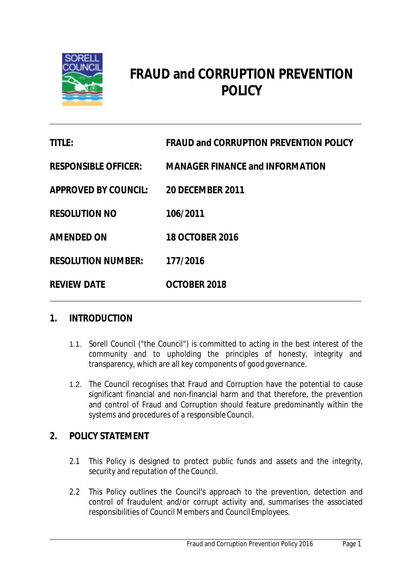

# **FRAUD and CORRUPTION PREVENTION POLICY**

| <b>TITLE:</b>               | <b>FRAUD and CORRUPTION PREVENTION POLICY</b> |
|-----------------------------|-----------------------------------------------|
| <b>RESPONSIBLE OFFICER:</b> | <b>MANAGER FINANCE and INFORMATION</b>        |
| <b>APPROVED BY COUNCIL:</b> | <b>20 DECEMBER 2011</b>                       |
| <b>RESOLUTION NO</b>        | 106/2011                                      |
| <b>AMENDED ON</b>           | <b>18 OCTOBER 2016</b>                        |
| <b>RESOLUTION NUMBER:</b>   | 177/2016                                      |
| <b>REVIEW DATE</b>          | OCTOBER 2018                                  |

## **1. INTRODUCTION**

- 1.1. Sorell Council ("the Council") is committed to acting in the best interest of the community and to upholding the principles of honesty, integrity and transparency, which are all key components of good governance.
- 1.2. The Council recognises that Fraud and Corruption have the potential to cause significant financial and non-financial harm and that therefore, the prevention and control of Fraud and Corruption should feature predominantly within the systems and procedures of a responsible Council.

# **2. POLICY STATEMENT**

- 2.1 This Policy is designed to protect public funds and assets and the integrity, security and reputation of the Council.
- 2.2 This Policy outlines the Council's approach to the prevention, detection and control of fraudulent and/or corrupt activity and, summarises the associated responsibilities of Council Members and CouncilEmployees.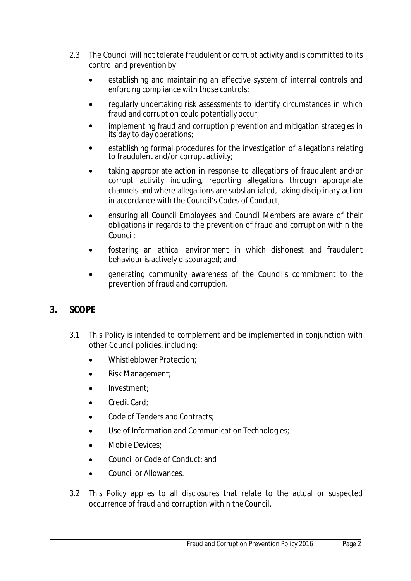- 2.3 The Council will not tolerate fraudulent or corrupt activity and is committed to its control and prevention by:
	- establishing and maintaining an effective system of internal controls and enforcing compliance with those controls;
	- regularly undertaking risk assessments to identify circumstances in which fraud and corruption could potentially occur;
	- implementing fraud and corruption prevention and mitigation strategies in its day to day operations;
	- establishing formal procedures for the investigation of allegations relating to fraudulent and/or corrupt activity;
	- taking appropriate action in response to allegations of fraudulent and/or corrupt activity including, reporting allegations through appropriate channels andwhere allegations are substantiated, taking disciplinary action in accordance with the Council's Codes of Conduct;
	- ensuring all Council Employees and Council Members are aware of their obligations in regards to the prevention of fraud and corruption within the Council;
	- fostering an ethical environment in which dishonest and fraudulent behaviour is actively discouraged; and
	- generating community awareness of the Council's commitment to the prevention of fraud and corruption.

# **3. SCOPE**

- 3.1 This Policy is intended to complement and be implemented in conjunction with other Council policies, including:
	- Whistleblower Protection:
	- Risk Management;
	- Investment;
	- Credit Card;
	- Code of Tenders and Contracts;
	- Use of Information and Communication Technologies;
	- Mobile Devices:
	- Councillor Code of Conduct; and
	- Councillor Allowances.
- 3.2 This Policy applies to all disclosures that relate to the actual or suspected occurrence of fraud and corruption within theCouncil.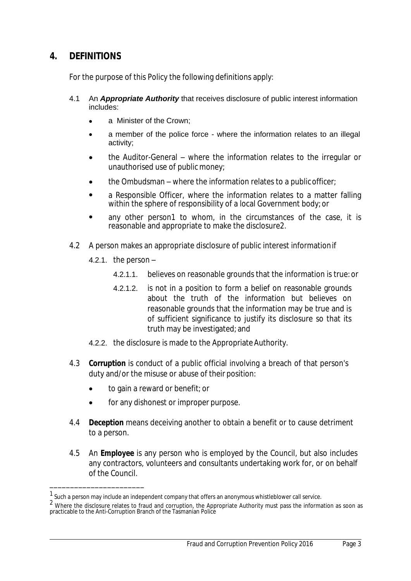## **4. DEFINITIONS**

For the purpose of this Policy the following definitions apply:

- 4.1 An *Appropriate Authority* that receives disclosure of public interest information includes:
	- a Minister of the Crown;
	- a member of the police force where the information relates to an illegal activity;
	- the Auditor-General where the information relates to the irregular or unauthorised use of public money;
	- the Ombudsman where the information relates to a publicofficer;
	- a Responsible Officer, where the information relates to a matter falling within the sphere of responsibility of a local Government body; or
	- any other person*1* to whom, in the circumstances of the case, it is reasonable and appropriate to make the disclosure*2*.
- 4.2 A person makes an appropriate disclosure of public interest informationif
	- 4.2.1. the person  $-$

\_\_\_\_\_\_\_\_\_\_\_\_\_\_\_\_\_\_\_\_\_\_\_

- 4.2.1.1. believes on reasonable grounds that the information is true:or
- 4.2.1.2. is not in a position to form a belief on reasonable grounds about the truth of the information but believes on reasonable grounds that the information may be true and is of sufficient significance to justify its disclosure so that its truth may be investigated; and
- 4.2.2. the disclosure is made to the Appropriate Authority.
- 4.3 *Corruption* is conduct of a public official involving a breach of that person's duty and/or the misuse or abuse of their position:
	- to gain a reward or benefit; or
	- for any dishonest or improper purpose.
- 4.4 *Deception* means deceiving another to obtain a benefit or to cause detriment to a person.
- 4.5 An *Employee* is any person who is employed by the Council, but also includes any contractors, volunteers and consultants undertaking work for, or on behalf of the Council.

 $1$  Such a person may include an independent company that offers an anonymous whistleblower call service.

 $<sup>2</sup>$  Where the disclosure relates to fraud and corruption, the Appropriate Authority must pass the information as soon as</sup> practicable to the Anti-Corruption Branch of the Tasmanian Police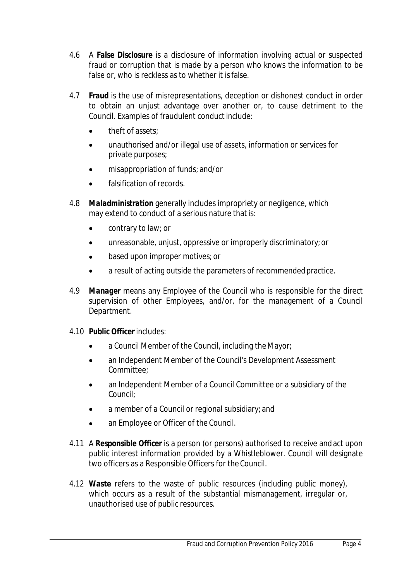- 4.6 A *False Disclosure* is a disclosure of information involving actual or suspected fraud or corruption that is made by a person who knows the information to be false or, who is reckless as to whether it isfalse.
- 4.7 *Fraud* is the use of misrepresentations, deception or dishonest conduct in order to obtain an unjust advantage over another or, to cause detriment to the Council. Examples of fraudulent conduct include:
	- theft of assets;
	- unauthorised and/or illegal use of assets, information or services for private purposes;
	- misappropriation of funds; and/or
	- **•** falsification of records.
- 4.8 *Maladministration* generally includes impropriety or negligence, which may extend to conduct of a serious nature that is:
	- contrary to law; or
	- unreasonable, unjust, oppressive or improperly discriminatory;or
	- based upon improper motives; or
	- a result of acting outside the parameters of recommendedpractice.
- 4.9 *Manager* means any Employee of the Council who is responsible for the direct supervision of other Employees, and/or, for the management of a Council Department.
- 4.10 *Public Officer* includes:
	- a Council Member of the Council, including the Mayor;
	- an Independent Member of the Council's Development Assessment Committee;
	- an Independent Member of a Council Committee or a subsidiary of the Council;
	- a member of a Council or regional subsidiary; and
	- an Employee or Officer of the Council.
- 4.11 A *Responsible Officer* is a person (or persons) authorised to receive andact upon public interest information provided by a Whistleblower. Council will designate two officers as a Responsible Officers for the Council.
- 4.12 *Waste* refers to the waste of public resources (including public money), which occurs as a result of the substantial mismanagement, irregular or, unauthorised use of public resources.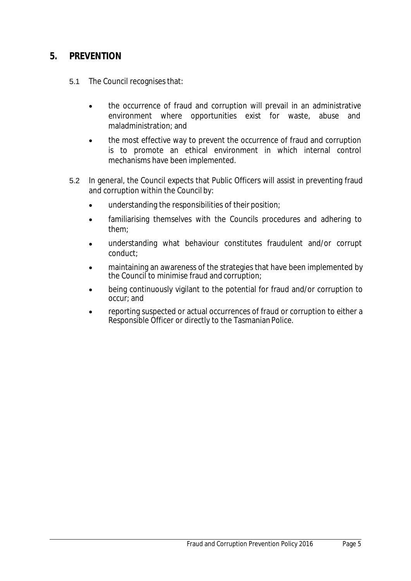## **5. PREVENTION**

- 5.1 The Council recognises that:
	- the occurrence of fraud and corruption will prevail in an administrative environment where opportunities exist for waste, abuse and maladministration; and
	- the most effective way to prevent the occurrence of fraud and corruption is to promote an ethical environment in which internal control mechanisms have been implemented.
- 5.2 In general, the Council expects that Public Officers will assist in preventing fraud and corruption within the Council by:
	- understanding the responsibilities of their position;
	- familiarising themselves with the Councils procedures and adhering to them;
	- understanding what behaviour constitutes fraudulent and/or corrupt conduct;
	- maintaining an awareness of the strategies that have been implemented by the Council to minimise fraud and corruption;
	- being continuously vigilant to the potential for fraud and/or corruption to occur; and
	- reporting suspected or actual occurrences of fraud or corruption to either a Responsible Officer or directly to the Tasmanian Police.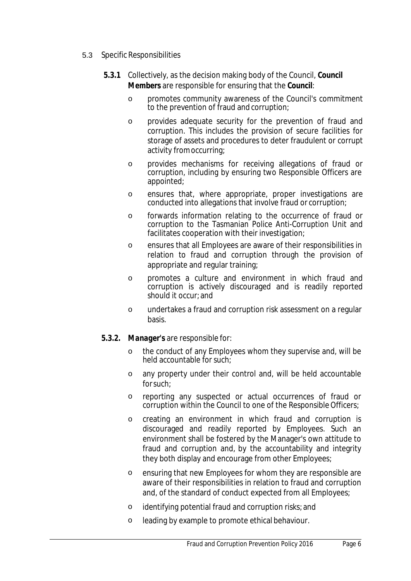#### 5.3 Specific Responsibilities

- **5.3.1** Collectively, as the decision making body of the Council, *Council Members* are responsible for ensuring that the *Council*:
	- o promotes community awareness of the Council's commitment to the prevention of fraud and corruption;
	- o provides adequate security for the prevention of fraud and corruption. This includes the provision of secure facilities for storage of assets and procedures to deter fraudulent or corrupt activity fromoccurring;
	- o provides mechanisms for receiving allegations of fraud or corruption, including by ensuring two Responsible Officers are appointed;
	- o ensures that, where appropriate, proper investigations are conducted into allegations that involve fraud or corruption;
	- o forwards information relating to the occurrence of fraud or corruption to the Tasmanian Police Anti-Corruption Unit and facilitates cooperation with their investigation;
	- o ensures that all Employees are aware of their responsibilities in relation to fraud and corruption through the provision of appropriate and regular training;
	- o promotes a culture and environment in which fraud and corruption is actively discouraged and is readily reported should it occur; and
	- o undertakes a fraud and corruption risk assessment on a regular basis.

#### *5.3.2. Manager's* are responsible for:

- o the conduct of any Employees whom they supervise and, will be held accountable for such:
- o any property under their control and, will be held accountable forsuch;
- o reporting any suspected or actual occurrences of fraud or corruption within the Council to one of the Responsible Officers;
- o creating an environment in which fraud and corruption is discouraged and readily reported by Employees. Such an environment shall be fostered by the Manager's own attitude to fraud and corruption and, by the accountability and integrity they both display and encourage from other Employees;
- o ensuring that new Employees for whom they are responsible are aware of their responsibilities in relation to fraud and corruption and, of the standard of conduct expected from all Employees;
- o identifying potential fraud and corruption risks; and
- o leading by example to promote ethical behaviour.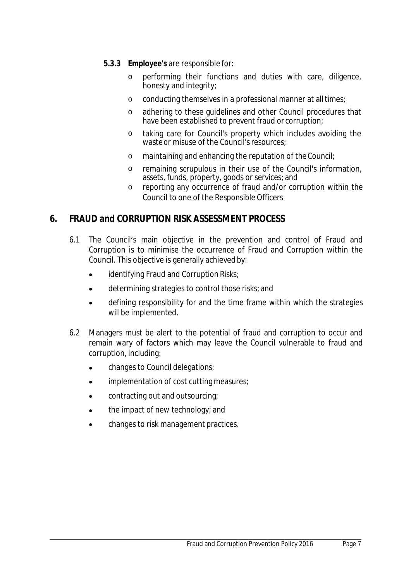- *5.3.3 Employee's* are responsible for:
	- o performing their functions and duties with care, diligence, honesty and integrity;
	- o conducting themselves in a professional manner at alltimes;
	- o adhering to these guidelines and other Council procedures that have been established to prevent fraud or corruption;
	- o taking care for Council's property which includes avoiding the waste or misuse of the Council's resources;
	- o maintaining and enhancing the reputation of theCouncil;
	- o remaining scrupulous in their use of the Council's information, assets, funds, property, goods or services; and
	- o reporting any occurrence of fraud and/or corruption within the Council to one of the Responsible Officers

# **6. FRAUD and CORRUPTION RISK ASSESSMENT PROCESS**

- 6.1 The Council's main objective in the prevention and control of Fraud and Corruption is to minimise the occurrence of Fraud and Corruption within the Council. This objective is generally achieved by:
	- identifying Fraud and Corruption Risks;
	- determining strategies to control those risks; and
	- defining responsibility for and the time frame within which the strategies willbe implemented.
- 6.2 Managers must be alert to the potential of fraud and corruption to occur and remain wary of factors which may leave the Council vulnerable to fraud and corruption, including:
	- changes to Council delegations;
	- implementation of cost cutting measures;
	- contracting out and outsourcing;
	- the impact of new technology; and
	- changes to risk management practices.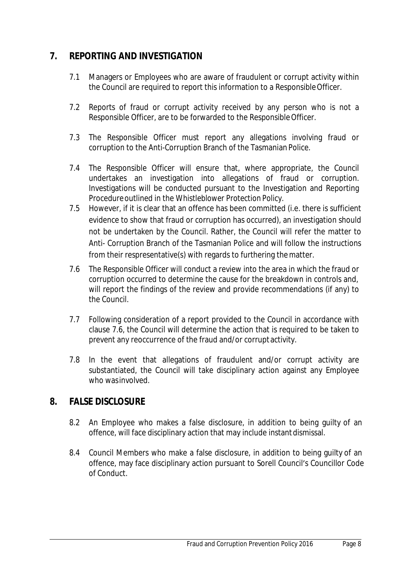# **7. REPORTING AND INVESTIGATION**

- 7.1 Managers or Employees who are aware of fraudulent or corrupt activity within the Council are required to report this information to a ResponsibleOfficer.
- 7.2 Reports of fraud or corrupt activity received by any person who is not a Responsible Officer, are to be forwarded to the Responsible Officer.
- 7.3 The Responsible Officer must report any allegations involving fraud or corruption to the Anti-Corruption Branch of the Tasmanian Police.
- 7.4 The Responsible Officer will ensure that, where appropriate, the Council undertakes an investigation into allegations of fraud or corruption. Investigations will be conducted pursuant to the Investigation and Reporting Procedureoutlined in the *Whistleblower Protection Policy*.
- 7.5 However, if it is clear that an offence has been committed (i.e. there is sufficient evidence to show that fraud or corruption has occurred), an investigation should not be undertaken by the Council. Rather, the Council will refer the matter to Anti- Corruption Branch of the Tasmanian Police and will follow the instructions from their respresentative(s) with regards to furthering the matter.
- 7.6 The Responsible Officer will conduct a review into the area in which the fraud or corruption occurred to determine the cause for the breakdown in controls and, will report the findings of the review and provide recommendations (if any) to the Council.
- 7.7 Following consideration of a report provided to the Council in accordance with clause 7.6, the Council will determine the action that is required to be taken to prevent any reoccurrence of the fraud and/or corruptactivity.
- 7.8 In the event that allegations of fraudulent and/or corrupt activity are substantiated, the Council will take disciplinary action against any Employee who wasinvolved.

## **8. FALSE DISCLOSURE**

- 8.2 An Employee who makes a false disclosure, in addition to being guilty of an offence, will face disciplinary action that may include instantdismissal.
- 8.4 Council Members who make a false disclosure, in addition to being guilty of an offence, may face disciplinary action pursuant to Sorell Council's Councillor Code of Conduct.